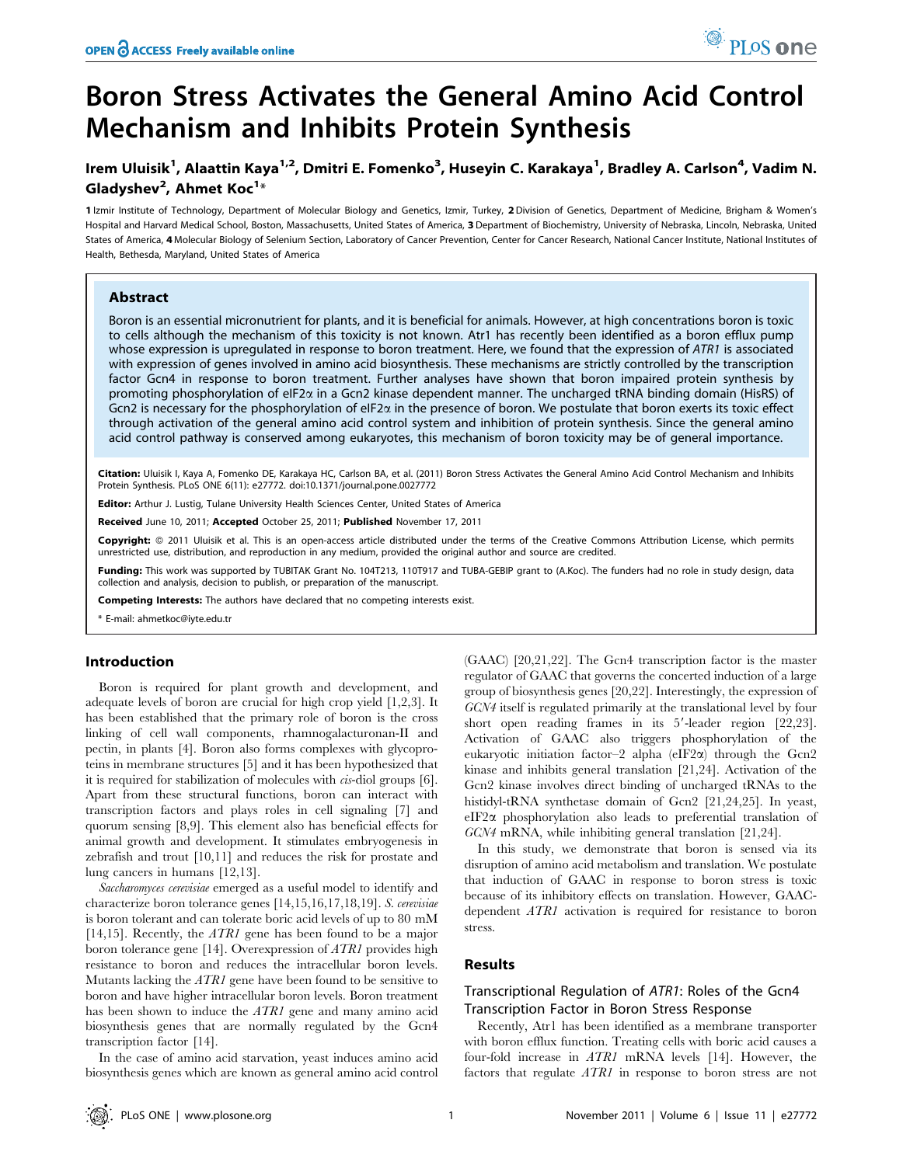# Boron Stress Activates the General Amino Acid Control Mechanism and Inhibits Protein Synthesis

## Irem Uluisik<sup>1</sup>, Alaattin Kaya<sup>1,2</sup>, Dmitri E. Fomenko<sup>3</sup>, Huseyin C. Karakaya<sup>1</sup>, Bradley A. Carlson<sup>4</sup>, Vadim N. Gladyshev<sup>2</sup>, Ahmet Koc<sup>1</sup>\*

1 Izmir Institute of Technology, Department of Molecular Biology and Genetics, Izmir, Turkey, 2 Division of Genetics, Department of Medicine, Brigham & Women's Hospital and Harvard Medical School, Boston, Massachusetts, United States of America, 3 Department of Biochemistry, University of Nebraska, Lincoln, Nebraska, United States of America, 4 Molecular Biology of Selenium Section, Laboratory of Cancer Prevention, Center for Cancer Research, National Cancer Institute, National Institutes of Health, Bethesda, Maryland, United States of America

#### Abstract

Boron is an essential micronutrient for plants, and it is beneficial for animals. However, at high concentrations boron is toxic to cells although the mechanism of this toxicity is not known. Atr1 has recently been identified as a boron efflux pump whose expression is upregulated in response to boron treatment. Here, we found that the expression of  $ATR1$  is associated with expression of genes involved in amino acid biosynthesis. These mechanisms are strictly controlled by the transcription factor Gcn4 in response to boron treatment. Further analyses have shown that boron impaired protein synthesis by promoting phosphorylation of eIF2a in a Gcn2 kinase dependent manner. The uncharged tRNA binding domain (HisRS) of Gcn2 is necessary for the phosphorylation of eIF2a in the presence of boron. We postulate that boron exerts its toxic effect through activation of the general amino acid control system and inhibition of protein synthesis. Since the general amino acid control pathway is conserved among eukaryotes, this mechanism of boron toxicity may be of general importance.

Citation: Uluisik I, Kaya A, Fomenko DE, Karakaya HC, Carlson BA, et al. (2011) Boron Stress Activates the General Amino Acid Control Mechanism and Inhibits Protein Synthesis. PLoS ONE 6(11): e27772. doi:10.1371/journal.pone.0027772

Editor: Arthur J. Lustig, Tulane University Health Sciences Center, United States of America

Received June 10, 2011; Accepted October 25, 2011; Published November 17, 2011

Copyright: © 2011 Uluisik et al. This is an open-access article distributed under the terms of the Creative Commons Attribution License, which permits unrestricted use, distribution, and reproduction in any medium, provided the original author and source are credited.

Funding: This work was supported by TUBITAK Grant No. 104T213, 110T917 and TUBA-GEBIP grant to (A.Koc). The funders had no role in study design, data collection and analysis, decision to publish, or preparation of the manuscript.

Competing Interests: The authors have declared that no competing interests exist.

\* E-mail: ahmetkoc@iyte.edu.tr

## Introduction

Boron is required for plant growth and development, and adequate levels of boron are crucial for high crop yield [1,2,3]. It has been established that the primary role of boron is the cross linking of cell wall components, rhamnogalacturonan-II and pectin, in plants [4]. Boron also forms complexes with glycoproteins in membrane structures [5] and it has been hypothesized that it is required for stabilization of molecules with cis-diol groups [6]. Apart from these structural functions, boron can interact with transcription factors and plays roles in cell signaling [7] and quorum sensing [8,9]. This element also has beneficial effects for animal growth and development. It stimulates embryogenesis in zebrafish and trout [10,11] and reduces the risk for prostate and lung cancers in humans [12,13].

Saccharomyces cerevisiae emerged as a useful model to identify and characterize boron tolerance genes [14,15,16,17,18,19]. S. cerevisiae is boron tolerant and can tolerate boric acid levels of up to 80 mM [14,15]. Recently, the  $ATRI$  gene has been found to be a major boron tolerance gene [14]. Overexpression of ATR1 provides high resistance to boron and reduces the intracellular boron levels. Mutants lacking the ATR1 gene have been found to be sensitive to boron and have higher intracellular boron levels. Boron treatment has been shown to induce the ATR1 gene and many amino acid biosynthesis genes that are normally regulated by the Gcn4 transcription factor [14].

In the case of amino acid starvation, yeast induces amino acid biosynthesis genes which are known as general amino acid control (GAAC) [20,21,22]. The Gcn4 transcription factor is the master regulator of GAAC that governs the concerted induction of a large group of biosynthesis genes [20,22]. Interestingly, the expression of GCN4 itself is regulated primarily at the translational level by four short open reading frames in its  $5'$ -leader region  $[22,23]$ . Activation of GAAC also triggers phosphorylation of the eukaryotic initiation factor–2 alpha (eIF2a) through the Gcn2 kinase and inhibits general translation [21,24]. Activation of the Gcn2 kinase involves direct binding of uncharged tRNAs to the histidyl-tRNA synthetase domain of Gcn2 [21,24,25]. In yeast, eIF2a phosphorylation also leads to preferential translation of GCN4 mRNA, while inhibiting general translation [21,24].

PLoS one

In this study, we demonstrate that boron is sensed via its disruption of amino acid metabolism and translation. We postulate that induction of GAAC in response to boron stress is toxic because of its inhibitory effects on translation. However, GAACdependent ATR1 activation is required for resistance to boron stress.

## Results

## Transcriptional Regulation of ATR1: Roles of the Gcn4 Transcription Factor in Boron Stress Response

Recently, Atr1 has been identified as a membrane transporter with boron efflux function. Treating cells with boric acid causes a four-fold increase in ATR1 mRNA levels [14]. However, the factors that regulate ATR1 in response to boron stress are not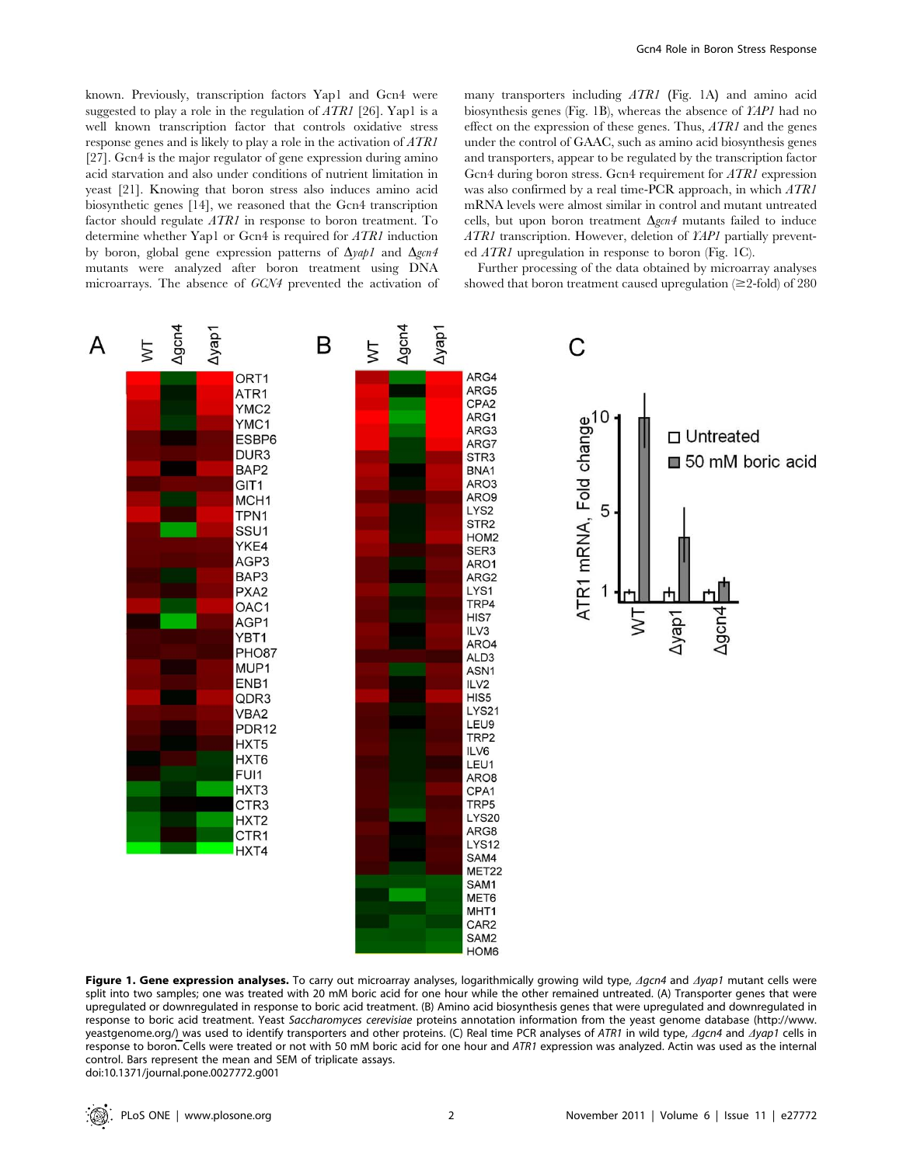known. Previously, transcription factors Yap1 and Gcn4 were suggested to play a role in the regulation of  $ATRI$  [26]. Yap1 is a well known transcription factor that controls oxidative stress response genes and is likely to play a role in the activation of ATR1 [27]. Gcn4 is the major regulator of gene expression during amino acid starvation and also under conditions of nutrient limitation in yeast [21]. Knowing that boron stress also induces amino acid biosynthetic genes [14], we reasoned that the Gcn4 transcription factor should regulate ATR1 in response to boron treatment. To determine whether Yap1 or Gcn4 is required for ATR1 induction by boron, global gene expression patterns of  $\Delta$ *yap1* and  $\Delta$ *gcn4* mutants were analyzed after boron treatment using DNA microarrays. The absence of GCN4 prevented the activation of many transporters including ATR1 (Fig. 1A) and amino acid biosynthesis genes (Fig. 1B), whereas the absence of YAP1 had no effect on the expression of these genes. Thus, ATR1 and the genes under the control of GAAC, such as amino acid biosynthesis genes and transporters, appear to be regulated by the transcription factor Gcn4 during boron stress. Gcn4 requirement for ATR1 expression was also confirmed by a real time-PCR approach, in which ATR1 mRNA levels were almost similar in control and mutant untreated cells, but upon boron treatment  $\Delta \text{gen4}$  mutants failed to induce ATR1 transcription. However, deletion of YAP1 partially prevented  $ATRI$  upregulation in response to boron (Fig. 1C).

Further processing of the data obtained by microarray analyses showed that boron treatment caused upregulation  $(\geq 2\text{-fold})$  of 280



Figure 1. Gene expression analyses. To carry out microarray analyses, logarithmically growing wild type,  $\Delta g c n4$  and  $\Delta g a p1$  mutant cells were split into two samples; one was treated with 20 mM boric acid for one hour while the other remained untreated. (A) Transporter genes that were upregulated or downregulated in response to boric acid treatment. (B) Amino acid biosynthesis genes that were upregulated and downregulated in response to boric acid treatment. Yeast Saccharomyces cerevisiae proteins annotation information from the yeast genome database (http://www. yeastgenome.org/) was used to identify transporters and other proteins. (C) Real time PCR analyses of ATR1 in wild type,  $\Delta g$ cn4 and  $\Delta g$ ap1 cells in response to boron. Cells were treated or not with 50 mM boric acid for one hour and ATR1 expression was analyzed. Actin was used as the internal control. Bars represent the mean and SEM of triplicate assays. doi:10.1371/journal.pone.0027772.g001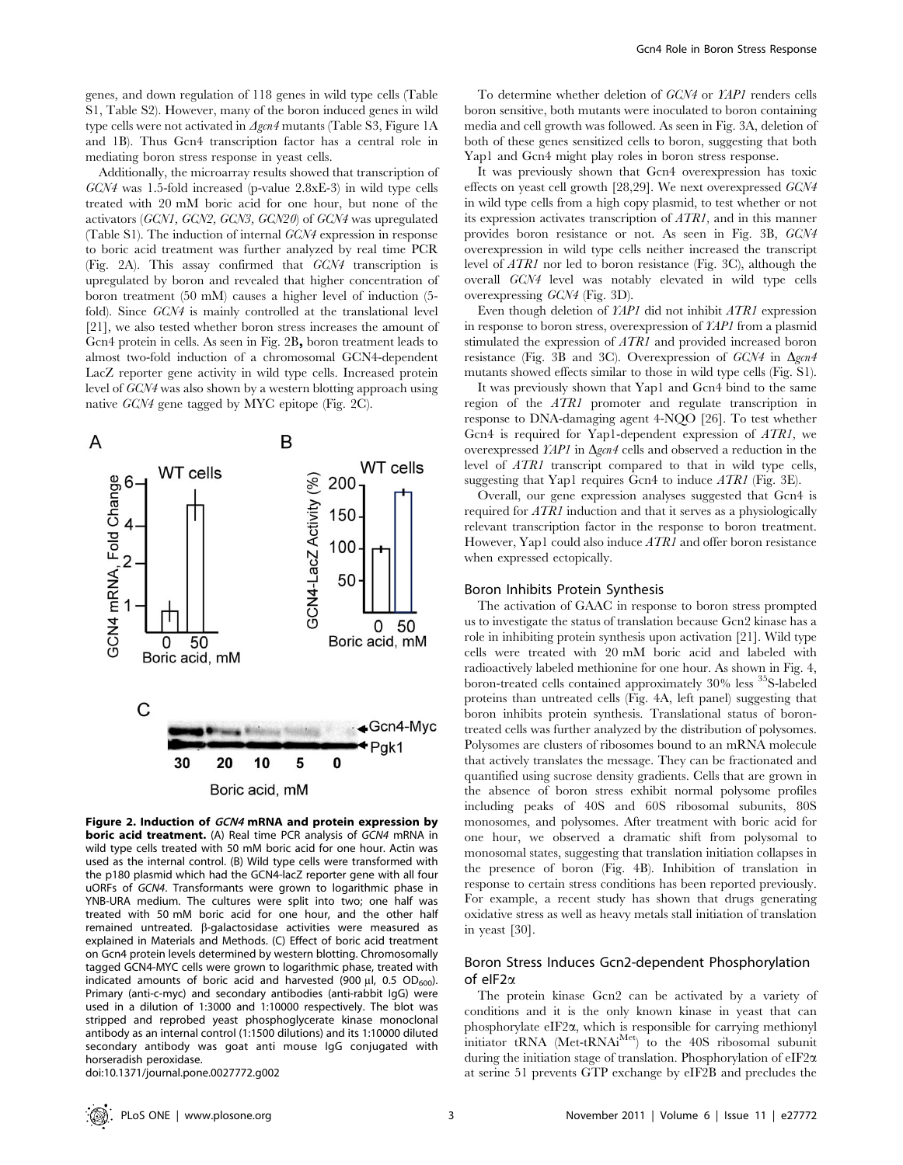genes, and down regulation of 118 genes in wild type cells (Table S1, Table S2). However, many of the boron induced genes in wild type cells were not activated in  $\Delta gcn4$  mutants (Table S3, Figure 1A and 1B). Thus Gcn4 transcription factor has a central role in mediating boron stress response in yeast cells.

Additionally, the microarray results showed that transcription of GCN4 was 1.5-fold increased (p-value 2.8xE-3) in wild type cells treated with 20 mM boric acid for one hour, but none of the activators (GCN1, GCN2, GCN3, GCN20) of GCN4 was upregulated (Table S1). The induction of internal GCN4 expression in response to boric acid treatment was further analyzed by real time PCR (Fig. 2A). This assay confirmed that GCN4 transcription is upregulated by boron and revealed that higher concentration of boron treatment (50 mM) causes a higher level of induction (5 fold). Since GCN4 is mainly controlled at the translational level [21], we also tested whether boron stress increases the amount of Gcn4 protein in cells. As seen in Fig. 2B, boron treatment leads to almost two-fold induction of a chromosomal GCN4-dependent LacZ reporter gene activity in wild type cells. Increased protein level of GCN4 was also shown by a western blotting approach using native GCN4 gene tagged by MYC epitope (Fig. 2C).



Figure 2. Induction of GCN4 mRNA and protein expression by boric acid treatment. (A) Real time PCR analysis of GCN4 mRNA in wild type cells treated with 50 mM boric acid for one hour. Actin was used as the internal control. (B) Wild type cells were transformed with the p180 plasmid which had the GCN4-lacZ reporter gene with all four uORFs of GCN4. Transformants were grown to logarithmic phase in YNB-URA medium. The cultures were split into two; one half was treated with 50 mM boric acid for one hour, and the other half remained untreated.  $\beta$ -galactosidase activities were measured as explained in Materials and Methods. (C) Effect of boric acid treatment on Gcn4 protein levels determined by western blotting. Chromosomally tagged GCN4-MYC cells were grown to logarithmic phase, treated with indicated amounts of boric acid and harvested (900  $\mu$ l, 0.5 OD $_{600}$ ). Primary (anti-c-myc) and secondary antibodies (anti-rabbit IgG) were used in a dilution of 1:3000 and 1:10000 respectively. The blot was stripped and reprobed yeast phosphoglycerate kinase monoclonal antibody as an internal control (1:1500 dilutions) and its 1:10000 diluted secondary antibody was goat anti mouse IgG conjugated with horseradish peroxidase.

To determine whether deletion of GCN4 or YAP1 renders cells boron sensitive, both mutants were inoculated to boron containing media and cell growth was followed. As seen in Fig. 3A, deletion of both of these genes sensitized cells to boron, suggesting that both Yap1 and Gcn4 might play roles in boron stress response.

It was previously shown that Gcn4 overexpression has toxic effects on yeast cell growth [28,29]. We next overexpressed GCN4 in wild type cells from a high copy plasmid, to test whether or not its expression activates transcription of ATR1, and in this manner provides boron resistance or not. As seen in Fig. 3B, GCN4 overexpression in wild type cells neither increased the transcript level of ATR1 nor led to boron resistance (Fig. 3C), although the overall GCN4 level was notably elevated in wild type cells overexpressing GCN4 (Fig. 3D).

Even though deletion of YAP1 did not inhibit ATR1 expression in response to boron stress, overexpression of YAP1 from a plasmid stimulated the expression of ATR1 and provided increased boron resistance (Fig. 3B and 3C). Overexpression of  $GCN4$  in  $\Delta$ gcn4 mutants showed effects similar to those in wild type cells (Fig. S1).

It was previously shown that Yap1 and Gcn4 bind to the same region of the ATR1 promoter and regulate transcription in response to DNA-damaging agent 4-NQO [26]. To test whether Gcn4 is required for Yap1-dependent expression of ATR1, we overexpressed  $\chi$ *AP1* in  $\Delta$ *gcn4* cells and observed a reduction in the level of ATR1 transcript compared to that in wild type cells, suggesting that Yap1 requires Gcn4 to induce ATR1 (Fig. 3E).

Overall, our gene expression analyses suggested that Gcn4 is required for ATR1 induction and that it serves as a physiologically relevant transcription factor in the response to boron treatment. However, Yap1 could also induce ATR1 and offer boron resistance when expressed ectopically.

#### Boron Inhibits Protein Synthesis

The activation of GAAC in response to boron stress prompted us to investigate the status of translation because Gcn2 kinase has a role in inhibiting protein synthesis upon activation [21]. Wild type cells were treated with 20 mM boric acid and labeled with radioactively labeled methionine for one hour. As shown in Fig. 4, boron-treated cells contained approximately 30% less 35S-labeled proteins than untreated cells (Fig. 4A, left panel) suggesting that boron inhibits protein synthesis. Translational status of borontreated cells was further analyzed by the distribution of polysomes. Polysomes are clusters of ribosomes bound to an mRNA molecule that actively translates the message. They can be fractionated and quantified using sucrose density gradients. Cells that are grown in the absence of boron stress exhibit normal polysome profiles including peaks of 40S and 60S ribosomal subunits, 80S monosomes, and polysomes. After treatment with boric acid for one hour, we observed a dramatic shift from polysomal to monosomal states, suggesting that translation initiation collapses in the presence of boron (Fig. 4B). Inhibition of translation in response to certain stress conditions has been reported previously. For example, a recent study has shown that drugs generating oxidative stress as well as heavy metals stall initiation of translation in yeast [30].

## Boron Stress Induces Gcn2-dependent Phosphorylation of elF2 $\alpha$

The protein kinase Gcn2 can be activated by a variety of conditions and it is the only known kinase in yeast that can phosphorylate eIF2a, which is responsible for carrying methionyl initiator tRNA (Met-tRNAi<sup>Met</sup>) to the 40S ribosomal subunit during the initiation stage of translation. Phosphorylation of  $eIF2\alpha$ at serine 51 prevents GTP exchange by eIF2B and precludes the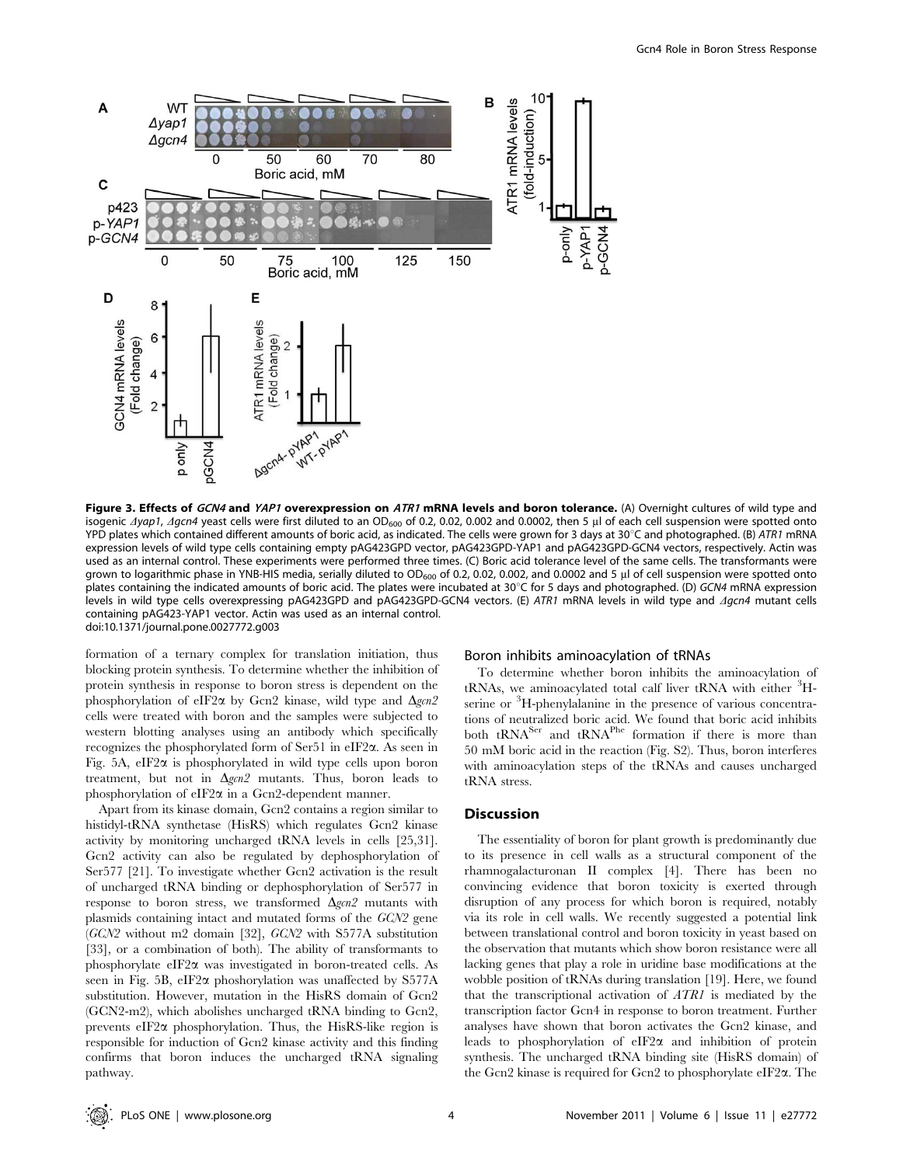

Figure 3. Effects of GCN4 and YAP1 overexpression on ATR1 mRNA levels and boron tolerance. (A) Overnight cultures of wild type and isogenic  $\Delta$ yap1,  $\Delta$ gcn4 yeast cells were first diluted to an OD<sub>600</sub> of 0.2, 0.02, 0.002 and 0.0002, then 5 µl of each cell suspension were spotted onto YPD plates which contained different amounts of boric acid, as indicated. The cells were grown for 3 days at 30°C and photographed. (B) ATR1 mRNA expression levels of wild type cells containing empty pAG423GPD vector, pAG423GPD-YAP1 and pAG423GPD-GCN4 vectors, respectively. Actin was used as an internal control. These experiments were performed three times. (C) Boric acid tolerance level of the same cells. The transformants were grown to logarithmic phase in YNB-HIS media, serially diluted to  $OD_{600}$  of 0.2, 0.02, 0.002, and 0.0002 and 5 ul of cell suspension were spotted onto plates containing the indicated amounts of boric acid. The plates were incubated at 30°C for 5 days and photographed. (D) GCN4 mRNA expression levels in wild type cells overexpressing pAG423GPD and pAG423GPD-GCN4 vectors. (E) ATR1 mRNA levels in wild type and *Agcn4* mutant cells containing pAG423-YAP1 vector. Actin was used as an internal control. doi:10.1371/journal.pone.0027772.g003

formation of a ternary complex for translation initiation, thus blocking protein synthesis. To determine whether the inhibition of protein synthesis in response to boron stress is dependent on the phosphorylation of eIF2 $\alpha$  by Gcn2 kinase, wild type and  $\Delta gcn2$ cells were treated with boron and the samples were subjected to western blotting analyses using an antibody which specifically recognizes the phosphorylated form of Ser51 in eIF2a. As seen in Fig. 5A,  $eIF2\alpha$  is phosphorylated in wild type cells upon boron treatment, but not in  $\Delta gcn2$  mutants. Thus, boron leads to phosphorylation of eIF2a in a Gcn2-dependent manner.

Apart from its kinase domain, Gcn2 contains a region similar to histidyl-tRNA synthetase (HisRS) which regulates Gcn2 kinase activity by monitoring uncharged tRNA levels in cells [25,31]. Gcn2 activity can also be regulated by dephosphorylation of Ser577 [21]. To investigate whether Gcn2 activation is the result of uncharged tRNA binding or dephosphorylation of Ser577 in response to boron stress, we transformed  $\Delta gcn2$  mutants with plasmids containing intact and mutated forms of the GCN2 gene (GCN2 without m2 domain [32], GCN2 with S577A substitution [33], or a combination of both). The ability of transformants to phosphorylate eIF2a was investigated in boron-treated cells. As seen in Fig. 5B, eIF2 $\alpha$  phoshorylation was unaffected by S577A substitution. However, mutation in the HisRS domain of Gcn2 (GCN2-m2), which abolishes uncharged tRNA binding to Gcn2, prevents eIF2 $\alpha$  phosphorylation. Thus, the HisRS-like region is responsible for induction of Gcn2 kinase activity and this finding confirms that boron induces the uncharged tRNA signaling pathway.

#### Boron inhibits aminoacylation of tRNAs

To determine whether boron inhibits the aminoacylation of tRNAs, we aminoacylated total calf liver tRNA with either <sup>3</sup>Hserine or <sup>3</sup>H-phenylalanine in the presence of various concentrations of neutralized boric acid. We found that boric acid inhibits both tRNA<sup>Ser</sup> and tRNA<sup>Phe</sup> formation if there is more than 50 mM boric acid in the reaction (Fig. S2). Thus, boron interferes with aminoacylation steps of the tRNAs and causes uncharged tRNA stress.

#### **Discussion**

The essentiality of boron for plant growth is predominantly due to its presence in cell walls as a structural component of the rhamnogalacturonan II complex [4]. There has been no convincing evidence that boron toxicity is exerted through disruption of any process for which boron is required, notably via its role in cell walls. We recently suggested a potential link between translational control and boron toxicity in yeast based on the observation that mutants which show boron resistance were all lacking genes that play a role in uridine base modifications at the wobble position of tRNAs during translation [19]. Here, we found that the transcriptional activation of  $ATRI$  is mediated by the transcription factor Gcn4 in response to boron treatment. Further analyses have shown that boron activates the Gcn2 kinase, and leads to phosphorylation of  $eIF2\alpha$  and inhibition of protein synthesis. The uncharged tRNA binding site (HisRS domain) of the Gcn2 kinase is required for Gcn2 to phosphorylate eIF2a. The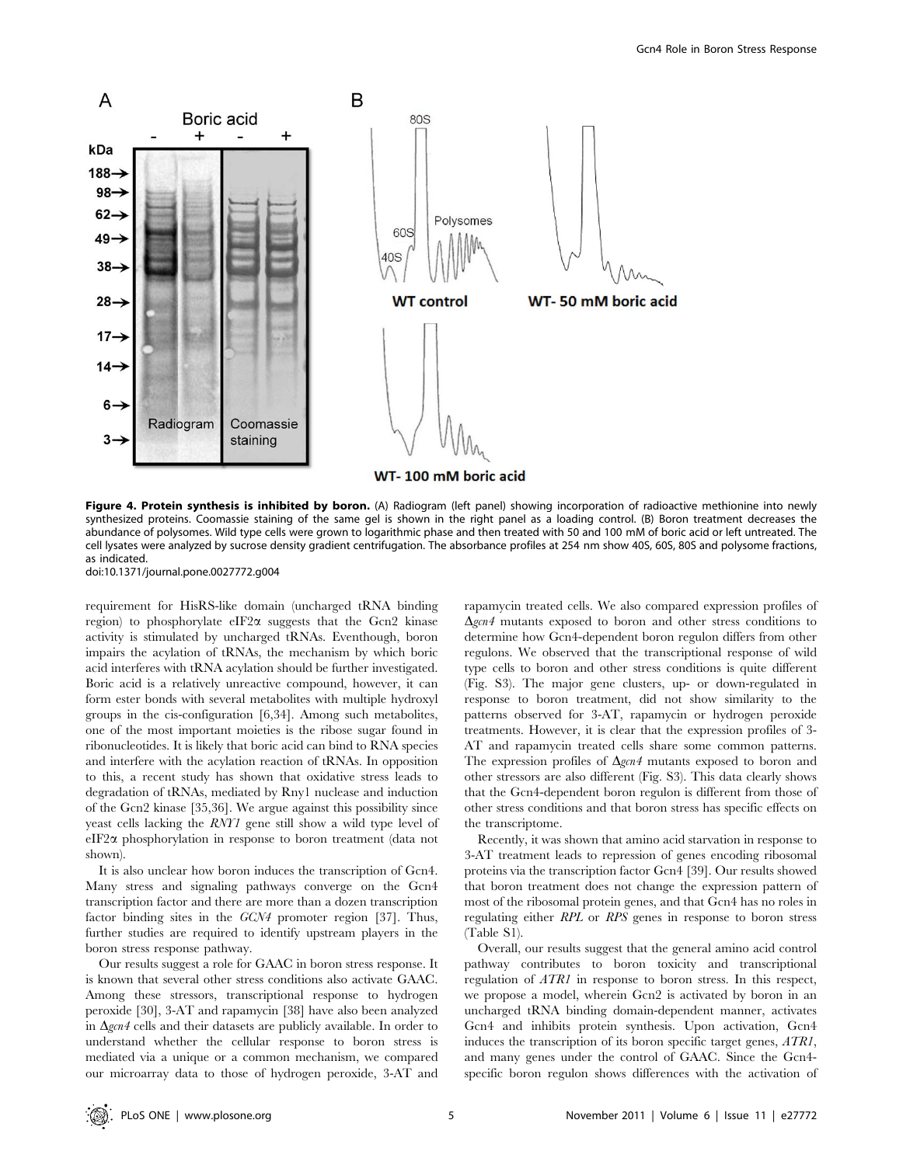

Figure 4. Protein synthesis is inhibited by boron. (A) Radiogram (left panel) showing incorporation of radioactive methionine into newly synthesized proteins. Coomassie staining of the same gel is shown in the right panel as a loading control. (B) Boron treatment decreases the abundance of polysomes. Wild type cells were grown to logarithmic phase and then treated with 50 and 100 mM of boric acid or left untreated. The cell lysates were analyzed by sucrose density gradient centrifugation. The absorbance profiles at 254 nm show 40S, 60S, 80S and polysome fractions, as indicated.

doi:10.1371/journal.pone.0027772.g004

requirement for HisRS-like domain (uncharged tRNA binding region) to phosphorylate eIF2 $\alpha$  suggests that the Gcn2 kinase activity is stimulated by uncharged tRNAs. Eventhough, boron impairs the acylation of tRNAs, the mechanism by which boric acid interferes with tRNA acylation should be further investigated. Boric acid is a relatively unreactive compound, however, it can form ester bonds with several metabolites with multiple hydroxyl groups in the cis-configuration [6,34]. Among such metabolites, one of the most important moieties is the ribose sugar found in ribonucleotides. It is likely that boric acid can bind to RNA species and interfere with the acylation reaction of tRNAs. In opposition to this, a recent study has shown that oxidative stress leads to degradation of tRNAs, mediated by Rny1 nuclease and induction of the Gcn2 kinase [35,36]. We argue against this possibility since yeast cells lacking the RNY1 gene still show a wild type level of eIF2a phosphorylation in response to boron treatment (data not shown).

It is also unclear how boron induces the transcription of Gcn4. Many stress and signaling pathways converge on the Gcn4 transcription factor and there are more than a dozen transcription factor binding sites in the GCN4 promoter region [37]. Thus, further studies are required to identify upstream players in the boron stress response pathway.

Our results suggest a role for GAAC in boron stress response. It is known that several other stress conditions also activate GAAC. Among these stressors, transcriptional response to hydrogen peroxide [30], 3-AT and rapamycin [38] have also been analyzed in  $\Delta$ gcn4 cells and their datasets are publicly available. In order to understand whether the cellular response to boron stress is mediated via a unique or a common mechanism, we compared our microarray data to those of hydrogen peroxide, 3-AT and rapamycin treated cells. We also compared expression profiles of  $\Delta$ gcn4 mutants exposed to boron and other stress conditions to determine how Gcn4-dependent boron regulon differs from other regulons. We observed that the transcriptional response of wild type cells to boron and other stress conditions is quite different (Fig. S3). The major gene clusters, up- or down-regulated in response to boron treatment, did not show similarity to the patterns observed for 3-AT, rapamycin or hydrogen peroxide treatments. However, it is clear that the expression profiles of 3- AT and rapamycin treated cells share some common patterns. The expression profiles of  $\Delta$ gcn4 mutants exposed to boron and other stressors are also different (Fig. S3). This data clearly shows that the Gcn4-dependent boron regulon is different from those of other stress conditions and that boron stress has specific effects on the transcriptome.

Recently, it was shown that amino acid starvation in response to 3-AT treatment leads to repression of genes encoding ribosomal proteins via the transcription factor Gcn4 [39]. Our results showed that boron treatment does not change the expression pattern of most of the ribosomal protein genes, and that Gcn4 has no roles in regulating either RPL or RPS genes in response to boron stress (Table S1).

Overall, our results suggest that the general amino acid control pathway contributes to boron toxicity and transcriptional regulation of ATR1 in response to boron stress. In this respect, we propose a model, wherein Gcn2 is activated by boron in an uncharged tRNA binding domain-dependent manner, activates Gcn4 and inhibits protein synthesis. Upon activation, Gcn4 induces the transcription of its boron specific target genes, ATR1, and many genes under the control of GAAC. Since the Gcn4 specific boron regulon shows differences with the activation of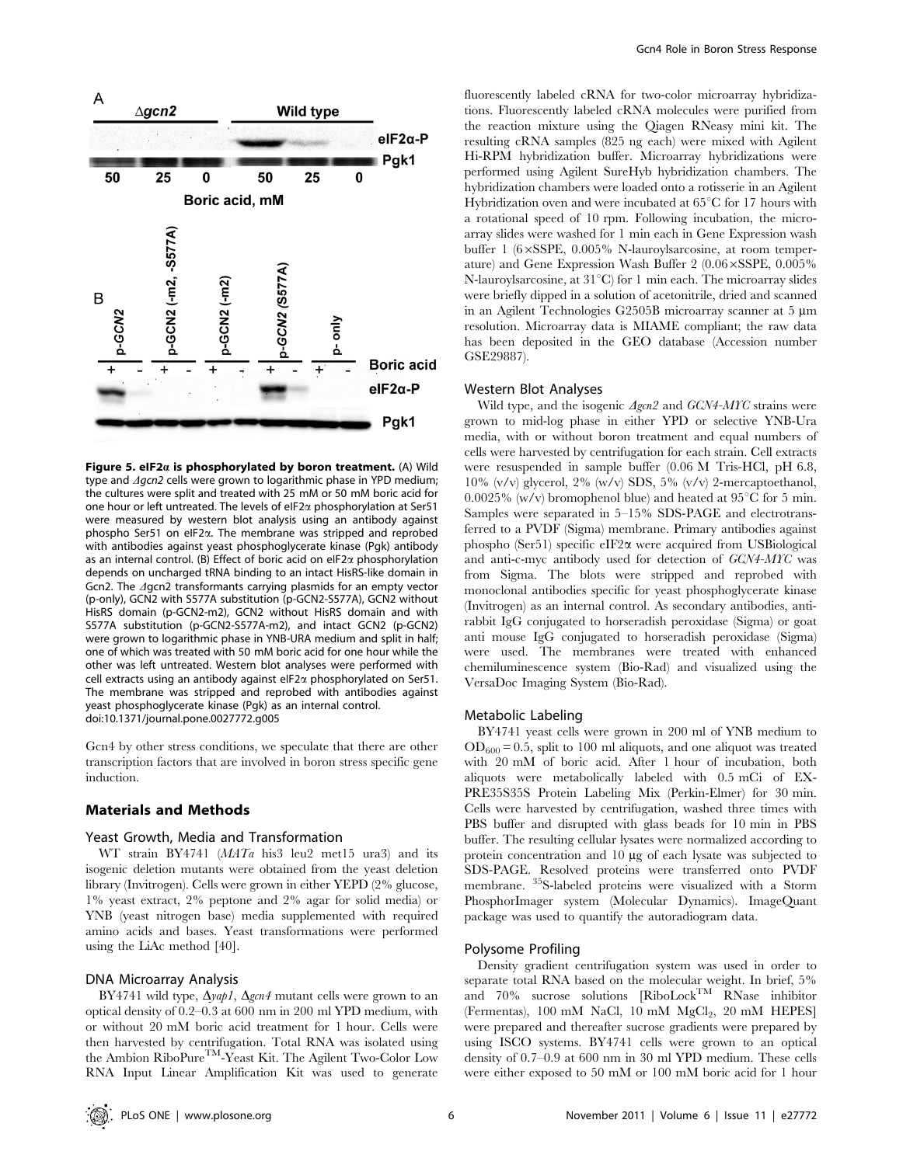

Figure 5. eIF2 $a$  is phosphorylated by boron treatment. (A) Wild type and  $\triangle$ gcn2 cells were grown to logarithmic phase in YPD medium; the cultures were split and treated with 25 mM or 50 mM boric acid for one hour or left untreated. The levels of eIF2a phosphorylation at Ser51 were measured by western blot analysis using an antibody against phospho Ser51 on eIF2a. The membrane was stripped and reprobed with antibodies against yeast phosphoglycerate kinase (Pgk) antibody as an internal control. (B) Effect of boric acid on eIF2a phosphorylation depends on uncharged tRNA binding to an intact HisRS-like domain in Gcn2. The *Agcn2* transformants carrying plasmids for an empty vector (p-only), GCN2 with S577A substitution (p-GCN2-S577A), GCN2 without HisRS domain (p-GCN2-m2), GCN2 without HisRS domain and with S577A substitution (p-GCN2-S577A-m2), and intact GCN2 (p-GCN2) were grown to logarithmic phase in YNB-URA medium and split in half; one of which was treated with 50 mM boric acid for one hour while the other was left untreated. Western blot analyses were performed with cell extracts using an antibody against eIF2a phosphorylated on Ser51. The membrane was stripped and reprobed with antibodies against yeast phosphoglycerate kinase (Pgk) as an internal control. doi:10.1371/journal.pone.0027772.g005

Gcn4 by other stress conditions, we speculate that there are other transcription factors that are involved in boron stress specific gene induction.

#### Materials and Methods

#### Yeast Growth, Media and Transformation

WT strain BY4741 (MATa his3 leu2 met15 ura3) and its isogenic deletion mutants were obtained from the yeast deletion library (Invitrogen). Cells were grown in either YEPD (2% glucose, 1% yeast extract, 2% peptone and 2% agar for solid media) or YNB (yeast nitrogen base) media supplemented with required amino acids and bases. Yeast transformations were performed using the LiAc method [40].

## DNA Microarray Analysis

BY4741 wild type,  $\Delta$ yap1,  $\Delta$ gcn4 mutant cells were grown to an optical density of 0.2–0.3 at 600 nm in 200 ml YPD medium, with or without 20 mM boric acid treatment for 1 hour. Cells were then harvested by centrifugation. Total RNA was isolated using the Ambion RiboPure<sup>TM</sup>-Yeast Kit. The Agilent Two-Color Low RNA Input Linear Amplification Kit was used to generate fluorescently labeled cRNA for two-color microarray hybridizations. Fluorescently labeled cRNA molecules were purified from the reaction mixture using the Qiagen RNeasy mini kit. The resulting cRNA samples (825 ng each) were mixed with Agilent Hi-RPM hybridization buffer. Microarray hybridizations were performed using Agilent SureHyb hybridization chambers. The hybridization chambers were loaded onto a rotisserie in an Agilent Hybridization oven and were incubated at  $65^{\circ}$ C for 17 hours with a rotational speed of 10 rpm. Following incubation, the microarray slides were washed for 1 min each in Gene Expression wash buffer 1 ( $6\times$ SSPE, 0.005% N-lauroylsarcosine, at room temperature) and Gene Expression Wash Buffer 2  $(0.06 \times \text{SSPE}, 0.005\%)$ N-lauroylsarcosine, at  $31^{\circ}$ C) for 1 min each. The microarray slides were briefly dipped in a solution of acetonitrile, dried and scanned in an Agilent Technologies G2505B microarray scanner at 5  $\mu$ m resolution. Microarray data is MIAME compliant; the raw data has been deposited in the GEO database (Accession number GSE29887).

#### Western Blot Analyses

Wild type, and the isogenic  $\triangle$ gcn<sub>2</sub> and GCN4-MYC strains were grown to mid-log phase in either YPD or selective YNB-Ura media, with or without boron treatment and equal numbers of cells were harvested by centrifugation for each strain. Cell extracts were resuspended in sample buffer (0.06 M Tris-HCl, pH 6.8, 10% (v/v) glycerol, 2% (w/v) SDS, 5% (v/v) 2-mercaptoethanol, 0.0025% (w/v) bromophenol blue) and heated at  $95^{\circ}$ C for 5 min. Samples were separated in 5–15% SDS-PAGE and electrotransferred to a PVDF (Sigma) membrane. Primary antibodies against phospho (Ser51) specific eIF2a were acquired from USBiological and anti-c-myc antibody used for detection of GCN4-MYC was from Sigma. The blots were stripped and reprobed with monoclonal antibodies specific for yeast phosphoglycerate kinase (Invitrogen) as an internal control. As secondary antibodies, antirabbit IgG conjugated to horseradish peroxidase (Sigma) or goat anti mouse IgG conjugated to horseradish peroxidase (Sigma) were used. The membranes were treated with enhanced chemiluminescence system (Bio-Rad) and visualized using the VersaDoc Imaging System (Bio-Rad).

## Metabolic Labeling

BY4741 yeast cells were grown in 200 ml of YNB medium to  $OD_{600} = 0.5$ , split to 100 ml aliquots, and one aliquot was treated with 20 mM of boric acid. After 1 hour of incubation, both aliquots were metabolically labeled with 0.5 mCi of EX-PRE35S35S Protein Labeling Mix (Perkin-Elmer) for 30 min. Cells were harvested by centrifugation, washed three times with PBS buffer and disrupted with glass beads for 10 min in PBS buffer. The resulting cellular lysates were normalized according to protein concentration and  $10 \mu g$  of each lysate was subjected to SDS-PAGE. Resolved proteins were transferred onto PVDF membrane. 35S-labeled proteins were visualized with a Storm PhosphorImager system (Molecular Dynamics). ImageQuant package was used to quantify the autoradiogram data.

#### Polysome Profiling

Density gradient centrifugation system was used in order to separate total RNA based on the molecular weight. In brief, 5% and 70% sucrose solutions [RiboLockTM RNase inhibitor (Fermentas), 100 mM NaCl, 10 mM MgCl<sub>2</sub>, 20 mM HEPES] were prepared and thereafter sucrose gradients were prepared by using ISCO systems. BY4741 cells were grown to an optical density of 0.7–0.9 at 600 nm in 30 ml YPD medium. These cells were either exposed to 50 mM or 100 mM boric acid for 1 hour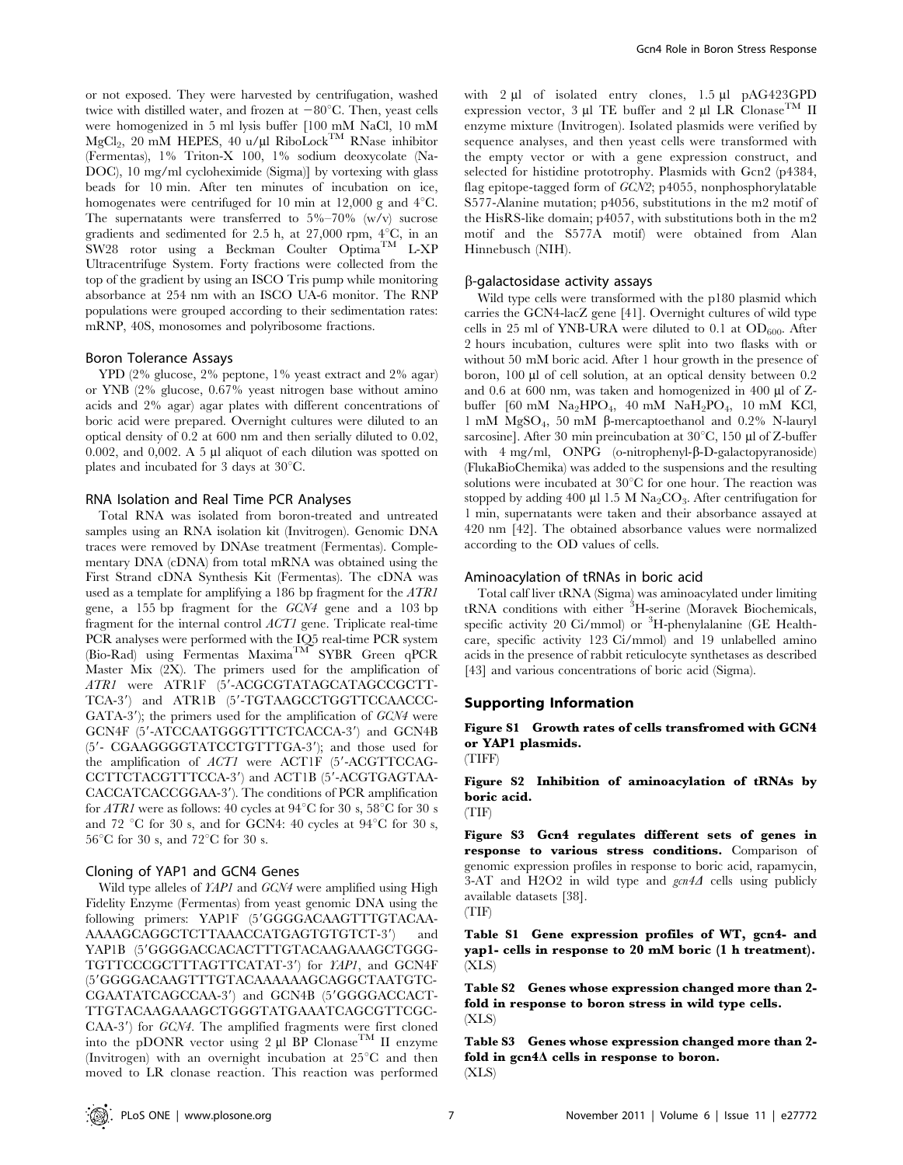or not exposed. They were harvested by centrifugation, washed twice with distilled water, and frozen at  $-80^{\circ}$ C. Then, yeast cells were homogenized in 5 ml lysis buffer [100 mM NaCl, 10 mM MgCl<sub>2</sub>, 20 mM HEPES, 40 u/µl RiboLock<sup>TM</sup> RNase inhibitor (Fermentas), 1% Triton-X 100, 1% sodium deoxycolate (Na-DOC), 10 mg/ml cycloheximide (Sigma)] by vortexing with glass beads for 10 min. After ten minutes of incubation on ice, homogenates were centrifuged for 10 min at 12,000 g and  $4^{\circ}$ C. The supernatants were transferred to  $5\% - 70\%$  (w/v) sucrose gradients and sedimented for 2.5 h, at 27,000 rpm,  $4^{\circ}$ C, in an SW28 rotor using a Beckman Coulter  $\mathrm{Optima}^{\mathrm{TM}}$  L-XP Ultracentrifuge System. Forty fractions were collected from the top of the gradient by using an ISCO Tris pump while monitoring absorbance at 254 nm with an ISCO UA-6 monitor. The RNP populations were grouped according to their sedimentation rates: mRNP, 40S, monosomes and polyribosome fractions.

## Boron Tolerance Assays

YPD (2% glucose, 2% peptone, 1% yeast extract and 2% agar) or YNB (2% glucose, 0.67% yeast nitrogen base without amino acids and 2% agar) agar plates with different concentrations of boric acid were prepared. Overnight cultures were diluted to an optical density of 0.2 at 600 nm and then serially diluted to 0.02, 0.002, and 0,002. A 5  $\mu$ l aliquot of each dilution was spotted on plates and incubated for 3 days at  $30^{\circ}$ C.

#### RNA Isolation and Real Time PCR Analyses

Total RNA was isolated from boron-treated and untreated samples using an RNA isolation kit (Invitrogen). Genomic DNA traces were removed by DNAse treatment (Fermentas). Complementary DNA (cDNA) from total mRNA was obtained using the First Strand cDNA Synthesis Kit (Fermentas). The cDNA was used as a template for amplifying a 186 bp fragment for the ATR1 gene, a 155 bp fragment for the GCN4 gene and a 103 bp fragment for the internal control ACT1 gene. Triplicate real-time PCR analyses were performed with the IQ5 real-time PCR system (Bio-Rad) using Fermentas Maxima<sup>TM</sup> SYBR Green qPCR Master Mix (2X). The primers used for the amplification of ATR1 were ATR1F (5'-ACGCGTATAGCATAGCCGCTT-TCA-3') and ATR1B (5'-TGTAAGCCTGGTTCCAACCC-GATA-3'); the primers used for the amplification of  $GCN4$  were GCN4F (5'-ATCCAATGGGTTTCTCACCA-3') and GCN4B (5'- CGAAGGGGTATCCTGTTTGA-3'); and those used for the amplification of  $ACT1$  were ACT1F (5'-ACGTTCCAG-CCTTCTACGTTTCCA-3') and ACT1B (5'-ACGTGAGTAA-CACCATCACCGGAA-3'). The conditions of PCR amplification for ATR1 were as follows: 40 cycles at  $94^{\circ}$ C for 30 s,  $58^{\circ}$ C for 30 s and 72 °C for 30 s, and for GCN4: 40 cycles at  $94^{\circ}$ C for 30 s,  $56^{\circ}$ C for 30 s, and  $72^{\circ}$ C for 30 s.

#### Cloning of YAP1 and GCN4 Genes

Wild type alleles of YAP1 and GCN4 were amplified using High Fidelity Enzyme (Fermentas) from yeast genomic DNA using the following primers: YAP1F (5'GGGGACAAGTTTGTACAA-AAAAGCAGGCTCTTAAACCATGAGTGTGTCT-3') and YAP1B (5'GGGGACCACACTTTGTACAAGAAAGCTGGG-TGTTCCCGCTTTAGTTCATAT-3') for YAP1, and GCN4F (59GGGGACAAGTTTGTACAAAAAAGCAGGCTAATGTC-CGAATATCAGCCAA-3') and GCN4B (5'GGGGACCACT-TTGTACAAGAAAGCTGGGTATGAAATCAGCGTTCGC- $CAA-3'$ ) for  $GCN4$ . The amplified fragments were first cloned into the pDONR vector using 2  $\mu$ l BP Clonase<sup>TM</sup> II enzyme (Invitrogen) with an overnight incubation at  $25^{\circ}$ C and then moved to LR clonase reaction. This reaction was performed with 2 µl of isolated entry clones, 1.5 µl pAG423GPD expression vector, 3  $\mu$ l TE buffer and 2  $\mu$ l LR Clonase<sup>TM</sup> II enzyme mixture (Invitrogen). Isolated plasmids were verified by sequence analyses, and then yeast cells were transformed with the empty vector or with a gene expression construct, and selected for histidine prototrophy. Plasmids with Gcn2 (p4384, flag epitope-tagged form of GCN2; p4055, nonphosphorylatable S577-Alanine mutation; p4056, substitutions in the m2 motif of the HisRS-like domain; p4057, with substitutions both in the m2 motif and the S577A motif) were obtained from Alan Hinnebusch (NIH).

#### b-galactosidase activity assays

Wild type cells were transformed with the p180 plasmid which carries the GCN4-lacZ gene [41]. Overnight cultures of wild type cells in 25 ml of YNB-URA were diluted to 0.1 at  $OD_{600}$ . After 2 hours incubation, cultures were split into two flasks with or without 50 mM boric acid. After 1 hour growth in the presence of boron, 100 µl of cell solution, at an optical density between 0.2 and  $0.6$  at  $600$  nm, was taken and homogenized in  $400 \mu$  of Zbuffer [60 mM Na<sub>2</sub>HPO<sub>4</sub>, 40 mM NaH<sub>2</sub>PO<sub>4</sub>, 10 mM KCl, 1 mM  $MgSO_4$ , 50 mM  $\beta$ -mercaptoethanol and 0.2% N-lauryl sarcosine]. After 30 min preincubation at  $30^{\circ}$ C, 150 µl of Z-buffer with  $4 \text{ mg/ml}$ , ONPG (o-nitrophenyl- $\beta$ -D-galactopyranoside) (FlukaBioChemika) was added to the suspensions and the resulting solutions were incubated at  $30^{\circ}\mathrm{C}$  for one hour. The reaction was stopped by adding 400  $\mu$ l 1.5 M Na<sub>2</sub>CO<sub>3</sub>. After centrifugation for 1 min, supernatants were taken and their absorbance assayed at 420 nm [42]. The obtained absorbance values were normalized according to the OD values of cells.

#### Aminoacylation of tRNAs in boric acid

Total calf liver tRNA (Sigma) was aminoacylated under limiting tRNA conditions with either <sup>3</sup>H-serine (Moravek Biochemicals, specific activity 20 Ci/mmol) or <sup>3</sup>H-phenylalanine (GE Healthcare, specific activity 123 Ci/mmol) and 19 unlabelled amino acids in the presence of rabbit reticulocyte synthetases as described [43] and various concentrations of boric acid (Sigma).

#### Supporting Information

Figure S1 Growth rates of cells transfromed with GCN4 or YAP1 plasmids. (TIFF)

Figure S2 Inhibition of aminoacylation of tRNAs by boric acid.

(TIF)

Figure S3 Gcn4 regulates different sets of genes in response to various stress conditions. Comparison of genomic expression profiles in response to boric acid, rapamycin, 3-AT and H2O2 in wild type and  $\text{gen4}\Delta$  cells using publicly available datasets [38]. (TIF)

Table S1 Gene expression profiles of WT, gcn4- and yap1- cells in response to 20 mM boric (1 h treatment). (XLS)

Table S2 Genes whose expression changed more than 2 fold in response to boron stress in wild type cells. (XLS)

Table S3 Genes whose expression changed more than 2 fold in  $\text{gen4}\Delta$  cells in response to boron. (XLS)